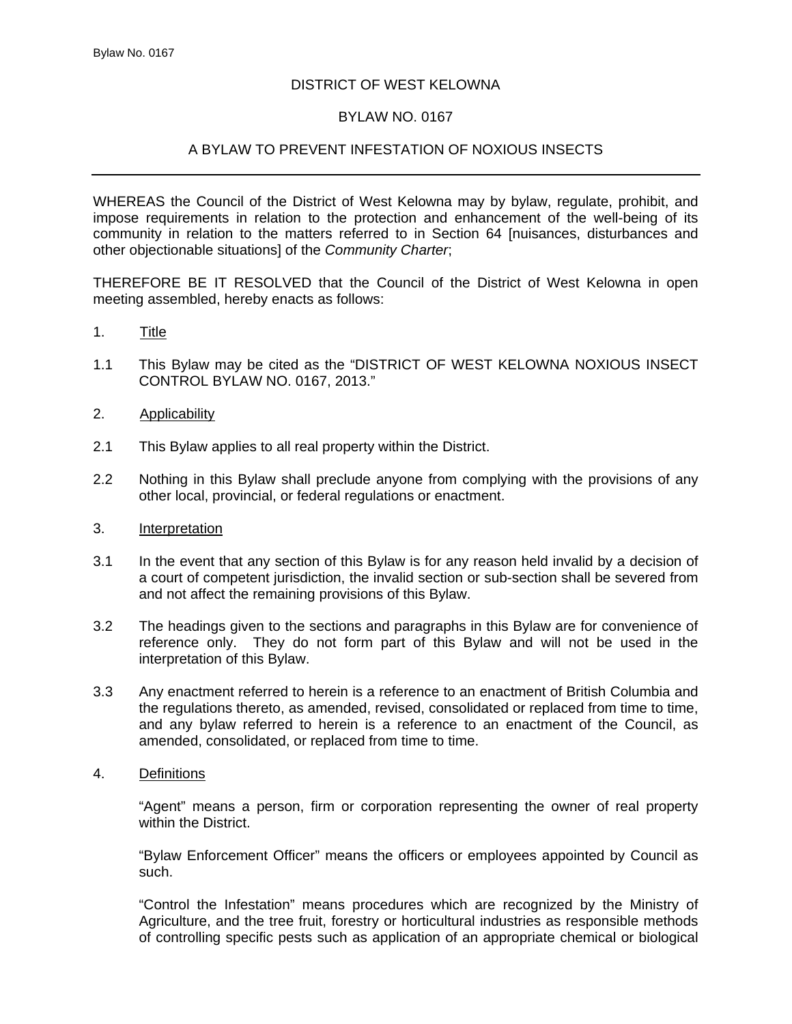## DISTRICT OF WEST KELOWNA

## BYLAW NO. 0167

# A BYLAW TO PREVENT INFESTATION OF NOXIOUS INSECTS

WHEREAS the Council of the District of West Kelowna may by bylaw, regulate, prohibit, and impose requirements in relation to the protection and enhancement of the well-being of its community in relation to the matters referred to in Section 64 [nuisances, disturbances and other objectionable situations] of the *Community Charter*;

THEREFORE BE IT RESOLVED that the Council of the District of West Kelowna in open meeting assembled, hereby enacts as follows:

- 1. Title
- 1.1 This Bylaw may be cited as the "DISTRICT OF WEST KELOWNA NOXIOUS INSECT CONTROL BYLAW NO. 0167, 2013."
- 2. Applicability
- 2.1 This Bylaw applies to all real property within the District.
- 2.2 Nothing in this Bylaw shall preclude anyone from complying with the provisions of any other local, provincial, or federal regulations or enactment.
- 3. Interpretation
- 3.1 In the event that any section of this Bylaw is for any reason held invalid by a decision of a court of competent jurisdiction, the invalid section or sub-section shall be severed from and not affect the remaining provisions of this Bylaw.
- 3.2 The headings given to the sections and paragraphs in this Bylaw are for convenience of reference only. They do not form part of this Bylaw and will not be used in the interpretation of this Bylaw.
- 3.3 Any enactment referred to herein is a reference to an enactment of British Columbia and the regulations thereto, as amended, revised, consolidated or replaced from time to time, and any bylaw referred to herein is a reference to an enactment of the Council, as amended, consolidated, or replaced from time to time.
- 4. Definitions

"Agent" means a person, firm or corporation representing the owner of real property within the District.

"Bylaw Enforcement Officer" means the officers or employees appointed by Council as such.

"Control the Infestation" means procedures which are recognized by the Ministry of Agriculture, and the tree fruit, forestry or horticultural industries as responsible methods of controlling specific pests such as application of an appropriate chemical or biological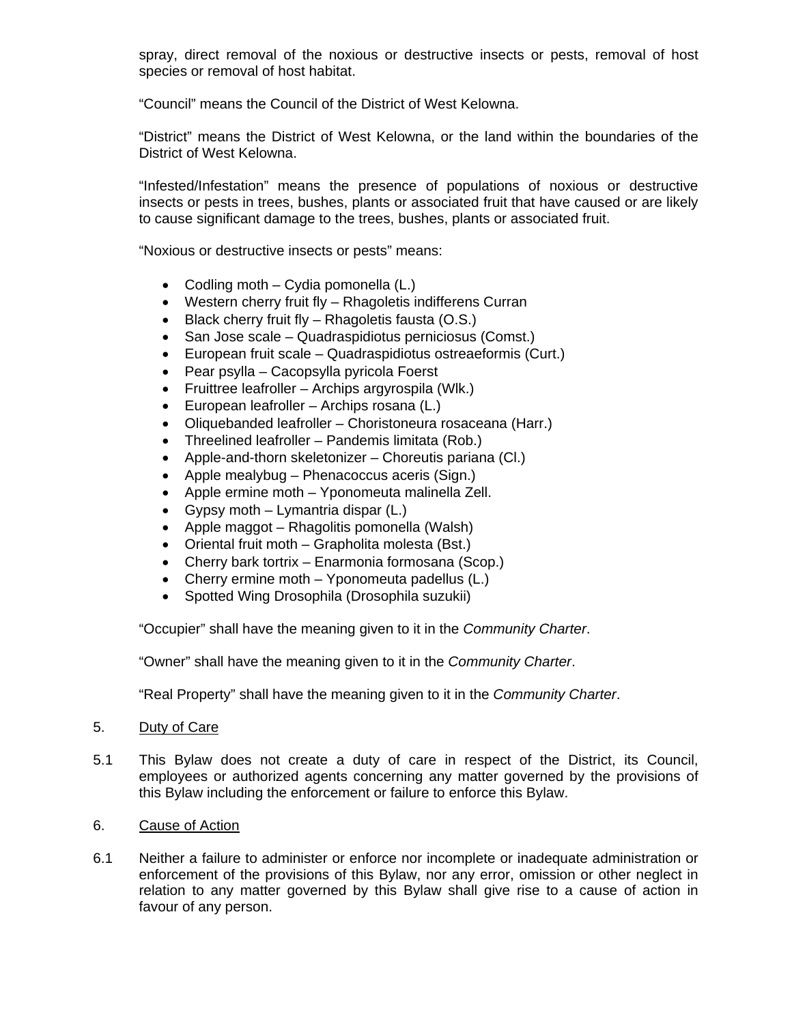spray, direct removal of the noxious or destructive insects or pests, removal of host species or removal of host habitat.

"Council" means the Council of the District of West Kelowna.

"District" means the District of West Kelowna, or the land within the boundaries of the District of West Kelowna.

"Infested/Infestation" means the presence of populations of noxious or destructive insects or pests in trees, bushes, plants or associated fruit that have caused or are likely to cause significant damage to the trees, bushes, plants or associated fruit.

"Noxious or destructive insects or pests" means:

- Codling moth Cydia pomonella (L.)
- Western cherry fruit fly Rhagoletis indifferens Curran
- $\bullet$  Black cherry fruit fly Rhagoletis fausta (O.S.)
- San Jose scale Quadraspidiotus perniciosus (Comst.)
- European fruit scale Quadraspidiotus ostreaeformis (Curt.)
- Pear psylla Cacopsylla pyricola Foerst
- Fruittree leafroller Archips argyrospila (Wlk.)
- European leafroller Archips rosana (L.)
- Oliquebanded leafroller Choristoneura rosaceana (Harr.)
- Threelined leafroller Pandemis limitata (Rob.)
- Apple-and-thorn skeletonizer Choreutis pariana (Cl.)
- Apple mealybug Phenacoccus aceris (Sign.)
- Apple ermine moth Yponomeuta malinella Zell.
- Gypsy moth Lymantria dispar  $(L)$
- Apple maggot Rhagolitis pomonella (Walsh)
- Oriental fruit moth Grapholita molesta (Bst.)
- Cherry bark tortrix Enarmonia formosana (Scop.)
- Cherry ermine moth Yponomeuta padellus (L.)
- Spotted Wing Drosophila (Drosophila suzukii)

"Occupier" shall have the meaning given to it in the *Community Charter*.

"Owner" shall have the meaning given to it in the *Community Charter*.

"Real Property" shall have the meaning given to it in the *Community Charter*.

- 5. Duty of Care
- 5.1 This Bylaw does not create a duty of care in respect of the District, its Council, employees or authorized agents concerning any matter governed by the provisions of this Bylaw including the enforcement or failure to enforce this Bylaw.
- 6. Cause of Action
- 6.1 Neither a failure to administer or enforce nor incomplete or inadequate administration or enforcement of the provisions of this Bylaw, nor any error, omission or other neglect in relation to any matter governed by this Bylaw shall give rise to a cause of action in favour of any person.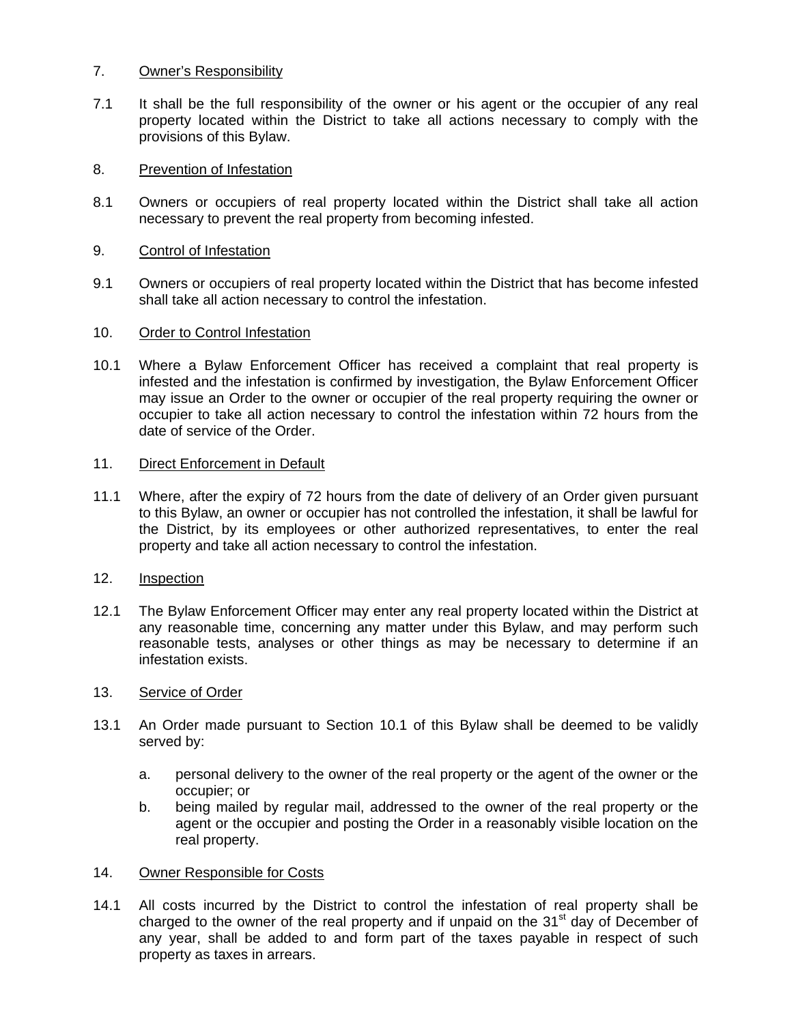# 7. Owner's Responsibility

7.1 It shall be the full responsibility of the owner or his agent or the occupier of any real property located within the District to take all actions necessary to comply with the provisions of this Bylaw.

## 8. Prevention of Infestation

8.1 Owners or occupiers of real property located within the District shall take all action necessary to prevent the real property from becoming infested.

## 9. Control of Infestation

9.1 Owners or occupiers of real property located within the District that has become infested shall take all action necessary to control the infestation.

### 10. Order to Control Infestation

10.1 Where a Bylaw Enforcement Officer has received a complaint that real property is infested and the infestation is confirmed by investigation, the Bylaw Enforcement Officer may issue an Order to the owner or occupier of the real property requiring the owner or occupier to take all action necessary to control the infestation within 72 hours from the date of service of the Order.

### 11. Direct Enforcement in Default

11.1 Where, after the expiry of 72 hours from the date of delivery of an Order given pursuant to this Bylaw, an owner or occupier has not controlled the infestation, it shall be lawful for the District, by its employees or other authorized representatives, to enter the real property and take all action necessary to control the infestation.

### 12. Inspection

12.1 The Bylaw Enforcement Officer may enter any real property located within the District at any reasonable time, concerning any matter under this Bylaw, and may perform such reasonable tests, analyses or other things as may be necessary to determine if an infestation exists.

### 13. Service of Order

- 13.1 An Order made pursuant to Section 10.1 of this Bylaw shall be deemed to be validly served by:
	- a. personal delivery to the owner of the real property or the agent of the owner or the occupier; or
	- b. being mailed by regular mail, addressed to the owner of the real property or the agent or the occupier and posting the Order in a reasonably visible location on the real property.

### 14. Owner Responsible for Costs

14.1 All costs incurred by the District to control the infestation of real property shall be charged to the owner of the real property and if unpaid on the  $31<sup>st</sup>$  day of December of any year, shall be added to and form part of the taxes payable in respect of such property as taxes in arrears.